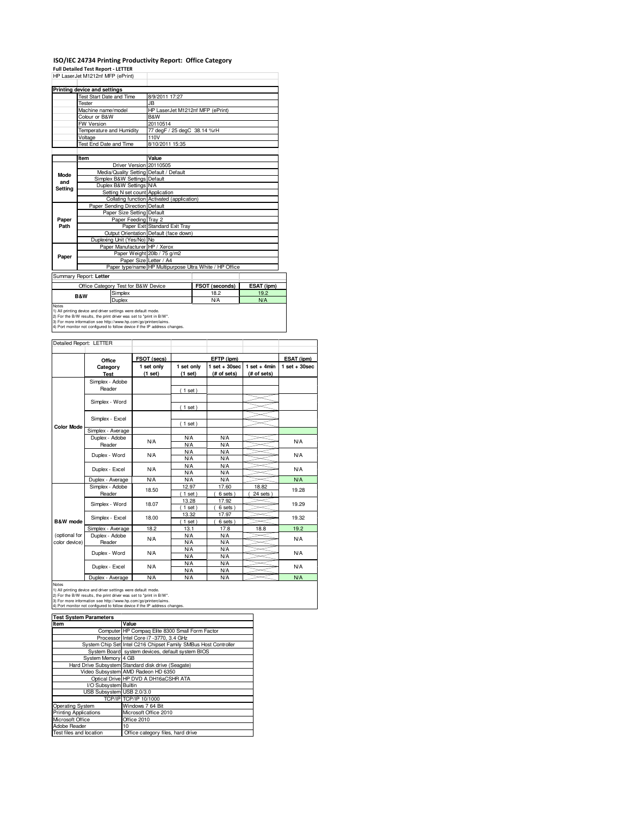## **ISO/IEC 24734 Printing Productivity Report: Office Category**

**Full Detailed Test Report - LETTER**

| HP LaserJet M1212nf MFP (ePrint) |                                 |                                     |                                                         |                             |            |  |  |
|----------------------------------|---------------------------------|-------------------------------------|---------------------------------------------------------|-----------------------------|------------|--|--|
|                                  | Printing device and settings    |                                     |                                                         |                             |            |  |  |
|                                  | <b>Test Start Date and Time</b> |                                     | 8/9/2011 17:27                                          |                             |            |  |  |
|                                  | Tester                          |                                     | JB.                                                     |                             |            |  |  |
|                                  | Machine name/model              |                                     | HP LaserJet M1212nf MFP (ePrint)                        |                             |            |  |  |
|                                  | Colour or B&W                   |                                     | B&W                                                     |                             |            |  |  |
|                                  | <b>FW Version</b>               |                                     | 20110514                                                |                             |            |  |  |
|                                  | Temperature and Humidity        |                                     |                                                         | 77 degF / 25 degC 38.14 %rH |            |  |  |
|                                  | Voltage                         |                                     | 110V                                                    |                             |            |  |  |
|                                  | <b>Test End Date and Time</b>   |                                     | 8/10/2011 15:35                                         |                             |            |  |  |
|                                  |                                 |                                     |                                                         |                             |            |  |  |
|                                  | Item                            |                                     | Value                                                   |                             |            |  |  |
|                                  |                                 | Driver Version 20110505             |                                                         |                             |            |  |  |
| Mode                             |                                 |                                     | Media/Quality Setting Default / Default                 |                             |            |  |  |
| and                              |                                 | Simplex B&W Settings Default        |                                                         |                             |            |  |  |
| <b>Settina</b>                   |                                 | Duplex B&W Settings N/A             |                                                         |                             |            |  |  |
|                                  |                                 | Setting N set count Application     |                                                         |                             |            |  |  |
|                                  |                                 |                                     | Collating function Activated (application)              |                             |            |  |  |
|                                  |                                 | Paper Sending Direction Default     |                                                         |                             |            |  |  |
|                                  |                                 | Paper Size Setting Default          |                                                         |                             |            |  |  |
| Paper                            |                                 | Paper Feeding Tray 2                |                                                         |                             |            |  |  |
| Path                             |                                 |                                     | Paper Exit Standard Exit Tray                           |                             |            |  |  |
|                                  |                                 |                                     | Output Orientation Default (face down)                  |                             |            |  |  |
|                                  | Duplexing Unit (Yes/No) No      |                                     |                                                         |                             |            |  |  |
|                                  | Paper Manufacturer HP / Xerox   |                                     |                                                         |                             |            |  |  |
| Paper                            |                                 | Paper Weight 20lb / 75 g/m2         |                                                         |                             |            |  |  |
|                                  |                                 | Paper Size Letter / A4              |                                                         |                             |            |  |  |
|                                  |                                 |                                     | Paper type/name HP Multipurpose Ultra White / HP Office |                             |            |  |  |
|                                  | Summary Report: Letter          |                                     |                                                         |                             |            |  |  |
|                                  |                                 | Office Category Test for B&W Device |                                                         | FSOT (seconds)              | ESAT (ipm) |  |  |
|                                  | <b>B&amp;W</b>                  | Simplex                             |                                                         | 18.2                        | 19.2       |  |  |
|                                  |                                 | Duplex                              |                                                         | <b>N/A</b>                  | <b>N/A</b> |  |  |
| Notes                            |                                 |                                     |                                                         |                             |            |  |  |

Notes<br>1) All printing device and driver settings were default mode.<br>2) For the B/W results, the print driver was set to "print in B/W".<br>3) For more information see http://www.hp.com/go/printerclaims.<br>4) Port monitor not co

| FSOT (secs)<br>ESAT (ipm)<br>EFTP (ipm)<br>Office<br>$1$ set $+30$ sec<br>$1$ set + 4min<br>1 set only<br>1 set only<br>$1$ set + 30sec<br>Category<br>(1 set)<br>(1 set)<br>(# of sets)<br>(# of sets)<br><b>Test</b><br>Simplex - Adobe<br>Reader<br>(1 set)<br>Simplex - Word<br>(1 set)<br>Simplex - Excel<br>(1 set)<br><b>Color Mode</b><br>Simplex - Average<br>Duplex - Adobe<br><b>N/A</b><br><b>N/A</b><br>N/A<br><b>N/A</b><br>N/A<br>Reader<br>N/A<br><b>N/A</b><br><b>N/A</b><br>Duplex - Word<br><b>N/A</b><br><b>N/A</b><br><b>N/A</b><br><b>N/A</b><br><b>N/A</b><br><b>N/A</b><br>Duplex - Excel<br><b>N/A</b><br><b>N/A</b><br><b>N/A</b><br><b>N/A</b><br><b>N/A</b><br><b>N/A</b><br><b>N/A</b><br><b>N/A</b><br>Duplex - Average<br>Simplex - Adobe<br>12.97<br>17.60<br>18.82<br>18.50<br>19.28<br>Reader<br>$1$ set)<br>6 sets)<br>24 sets<br>13.28<br>17.92<br>Simplex - Word<br>18.07<br>19.29<br>$1$ set)<br>6 sets)<br>13.32<br>17.97<br>Simplex - Excel<br>18.00<br>19.32<br>$1$ set)<br>6 sets)<br>B&W mode<br>18.2<br>17.8<br>19.2<br>13.1<br>18.8<br>Simplex - Average<br>(optional for<br>Duplex - Adobe<br>N/A<br><b>N/A</b><br>N/A<br><b>N/A</b><br>color device)<br>Reader<br><b>N/A</b><br><b>N/A</b><br><b>N/A</b><br><b>N/A</b><br><b>N/A</b><br>Duplex - Word<br><b>N/A</b><br><b>N/A</b><br><b>N/A</b><br><b>N/A</b><br><b>N/A</b><br>Duplex - Excel<br><b>N/A</b><br><b>N/A</b><br><b>N/A</b><br><b>N/A</b> |  | Detailed Report: LETTER |     |            |            |  |            |
|------------------------------------------------------------------------------------------------------------------------------------------------------------------------------------------------------------------------------------------------------------------------------------------------------------------------------------------------------------------------------------------------------------------------------------------------------------------------------------------------------------------------------------------------------------------------------------------------------------------------------------------------------------------------------------------------------------------------------------------------------------------------------------------------------------------------------------------------------------------------------------------------------------------------------------------------------------------------------------------------------------------------------------------------------------------------------------------------------------------------------------------------------------------------------------------------------------------------------------------------------------------------------------------------------------------------------------------------------------------------------------------------------------------------------------------------------|--|-------------------------|-----|------------|------------|--|------------|
|                                                                                                                                                                                                                                                                                                                                                                                                                                                                                                                                                                                                                                                                                                                                                                                                                                                                                                                                                                                                                                                                                                                                                                                                                                                                                                                                                                                                                                                      |  |                         |     |            |            |  |            |
|                                                                                                                                                                                                                                                                                                                                                                                                                                                                                                                                                                                                                                                                                                                                                                                                                                                                                                                                                                                                                                                                                                                                                                                                                                                                                                                                                                                                                                                      |  |                         |     |            |            |  |            |
|                                                                                                                                                                                                                                                                                                                                                                                                                                                                                                                                                                                                                                                                                                                                                                                                                                                                                                                                                                                                                                                                                                                                                                                                                                                                                                                                                                                                                                                      |  |                         |     |            |            |  |            |
|                                                                                                                                                                                                                                                                                                                                                                                                                                                                                                                                                                                                                                                                                                                                                                                                                                                                                                                                                                                                                                                                                                                                                                                                                                                                                                                                                                                                                                                      |  |                         |     |            |            |  |            |
|                                                                                                                                                                                                                                                                                                                                                                                                                                                                                                                                                                                                                                                                                                                                                                                                                                                                                                                                                                                                                                                                                                                                                                                                                                                                                                                                                                                                                                                      |  |                         |     |            |            |  |            |
|                                                                                                                                                                                                                                                                                                                                                                                                                                                                                                                                                                                                                                                                                                                                                                                                                                                                                                                                                                                                                                                                                                                                                                                                                                                                                                                                                                                                                                                      |  |                         |     |            |            |  |            |
|                                                                                                                                                                                                                                                                                                                                                                                                                                                                                                                                                                                                                                                                                                                                                                                                                                                                                                                                                                                                                                                                                                                                                                                                                                                                                                                                                                                                                                                      |  |                         |     |            |            |  |            |
|                                                                                                                                                                                                                                                                                                                                                                                                                                                                                                                                                                                                                                                                                                                                                                                                                                                                                                                                                                                                                                                                                                                                                                                                                                                                                                                                                                                                                                                      |  |                         |     |            |            |  |            |
|                                                                                                                                                                                                                                                                                                                                                                                                                                                                                                                                                                                                                                                                                                                                                                                                                                                                                                                                                                                                                                                                                                                                                                                                                                                                                                                                                                                                                                                      |  |                         |     |            |            |  |            |
|                                                                                                                                                                                                                                                                                                                                                                                                                                                                                                                                                                                                                                                                                                                                                                                                                                                                                                                                                                                                                                                                                                                                                                                                                                                                                                                                                                                                                                                      |  |                         |     |            |            |  |            |
|                                                                                                                                                                                                                                                                                                                                                                                                                                                                                                                                                                                                                                                                                                                                                                                                                                                                                                                                                                                                                                                                                                                                                                                                                                                                                                                                                                                                                                                      |  |                         |     |            |            |  |            |
|                                                                                                                                                                                                                                                                                                                                                                                                                                                                                                                                                                                                                                                                                                                                                                                                                                                                                                                                                                                                                                                                                                                                                                                                                                                                                                                                                                                                                                                      |  |                         |     |            |            |  |            |
|                                                                                                                                                                                                                                                                                                                                                                                                                                                                                                                                                                                                                                                                                                                                                                                                                                                                                                                                                                                                                                                                                                                                                                                                                                                                                                                                                                                                                                                      |  |                         |     |            |            |  |            |
|                                                                                                                                                                                                                                                                                                                                                                                                                                                                                                                                                                                                                                                                                                                                                                                                                                                                                                                                                                                                                                                                                                                                                                                                                                                                                                                                                                                                                                                      |  |                         |     |            |            |  |            |
|                                                                                                                                                                                                                                                                                                                                                                                                                                                                                                                                                                                                                                                                                                                                                                                                                                                                                                                                                                                                                                                                                                                                                                                                                                                                                                                                                                                                                                                      |  |                         |     |            |            |  |            |
|                                                                                                                                                                                                                                                                                                                                                                                                                                                                                                                                                                                                                                                                                                                                                                                                                                                                                                                                                                                                                                                                                                                                                                                                                                                                                                                                                                                                                                                      |  |                         |     |            |            |  |            |
|                                                                                                                                                                                                                                                                                                                                                                                                                                                                                                                                                                                                                                                                                                                                                                                                                                                                                                                                                                                                                                                                                                                                                                                                                                                                                                                                                                                                                                                      |  |                         |     |            |            |  |            |
|                                                                                                                                                                                                                                                                                                                                                                                                                                                                                                                                                                                                                                                                                                                                                                                                                                                                                                                                                                                                                                                                                                                                                                                                                                                                                                                                                                                                                                                      |  |                         |     |            |            |  |            |
|                                                                                                                                                                                                                                                                                                                                                                                                                                                                                                                                                                                                                                                                                                                                                                                                                                                                                                                                                                                                                                                                                                                                                                                                                                                                                                                                                                                                                                                      |  |                         |     |            |            |  |            |
|                                                                                                                                                                                                                                                                                                                                                                                                                                                                                                                                                                                                                                                                                                                                                                                                                                                                                                                                                                                                                                                                                                                                                                                                                                                                                                                                                                                                                                                      |  |                         |     |            |            |  |            |
|                                                                                                                                                                                                                                                                                                                                                                                                                                                                                                                                                                                                                                                                                                                                                                                                                                                                                                                                                                                                                                                                                                                                                                                                                                                                                                                                                                                                                                                      |  |                         |     |            |            |  |            |
|                                                                                                                                                                                                                                                                                                                                                                                                                                                                                                                                                                                                                                                                                                                                                                                                                                                                                                                                                                                                                                                                                                                                                                                                                                                                                                                                                                                                                                                      |  |                         |     |            |            |  |            |
|                                                                                                                                                                                                                                                                                                                                                                                                                                                                                                                                                                                                                                                                                                                                                                                                                                                                                                                                                                                                                                                                                                                                                                                                                                                                                                                                                                                                                                                      |  |                         |     |            |            |  |            |
|                                                                                                                                                                                                                                                                                                                                                                                                                                                                                                                                                                                                                                                                                                                                                                                                                                                                                                                                                                                                                                                                                                                                                                                                                                                                                                                                                                                                                                                      |  |                         |     |            |            |  |            |
|                                                                                                                                                                                                                                                                                                                                                                                                                                                                                                                                                                                                                                                                                                                                                                                                                                                                                                                                                                                                                                                                                                                                                                                                                                                                                                                                                                                                                                                      |  |                         |     |            |            |  |            |
|                                                                                                                                                                                                                                                                                                                                                                                                                                                                                                                                                                                                                                                                                                                                                                                                                                                                                                                                                                                                                                                                                                                                                                                                                                                                                                                                                                                                                                                      |  |                         |     |            |            |  |            |
|                                                                                                                                                                                                                                                                                                                                                                                                                                                                                                                                                                                                                                                                                                                                                                                                                                                                                                                                                                                                                                                                                                                                                                                                                                                                                                                                                                                                                                                      |  |                         |     |            |            |  |            |
|                                                                                                                                                                                                                                                                                                                                                                                                                                                                                                                                                                                                                                                                                                                                                                                                                                                                                                                                                                                                                                                                                                                                                                                                                                                                                                                                                                                                                                                      |  |                         |     |            |            |  |            |
|                                                                                                                                                                                                                                                                                                                                                                                                                                                                                                                                                                                                                                                                                                                                                                                                                                                                                                                                                                                                                                                                                                                                                                                                                                                                                                                                                                                                                                                      |  |                         |     |            |            |  |            |
|                                                                                                                                                                                                                                                                                                                                                                                                                                                                                                                                                                                                                                                                                                                                                                                                                                                                                                                                                                                                                                                                                                                                                                                                                                                                                                                                                                                                                                                      |  | Duplex - Average        | N/A | <b>N/A</b> | <b>N/A</b> |  | <b>N/A</b> |

Notes<br>1) All printing device and driver settings were default mode.<br>2) For the B/W results, the print driver was set to "print in B/W".<br>3) For more information see http://www.hp.com/go/printerclaims.<br>4) Port monitor not co

| <b>Test System Parameters</b> |                                                                 |  |  |  |
|-------------------------------|-----------------------------------------------------------------|--|--|--|
| Item                          | Value                                                           |  |  |  |
|                               | Computer HP Compag Elite 8300 Small Form Factor                 |  |  |  |
|                               | Processor Intel Core i7 -3770, 3.4 GHz                          |  |  |  |
|                               | System Chip Set Intel C216 Chipset Family SMBus Host Controller |  |  |  |
|                               | System Board system devices, default system BIOS                |  |  |  |
| System Memory 4 GB            |                                                                 |  |  |  |
|                               | Hard Drive Subsystem Standard disk drive (Seagate)              |  |  |  |
|                               | Video Subsystem AMD Radeon HD 6350                              |  |  |  |
|                               | Optical Drive HP DVD A DH16aCSHR ATA                            |  |  |  |
| I/O Subsystem Builtin         |                                                                 |  |  |  |
| USB Subsystem USB 2.0/3.0     |                                                                 |  |  |  |
|                               | TCP/IP TCP/IP 10/1000                                           |  |  |  |
| Operating System              | Windows 7 64 Bit                                                |  |  |  |
| <b>Printing Applications</b>  | Microsoft Office 2010                                           |  |  |  |
| Microsoft Office              | Office 2010                                                     |  |  |  |
| Adobe Reader                  | 10                                                              |  |  |  |
| Test files and location       | Office category files, hard drive                               |  |  |  |